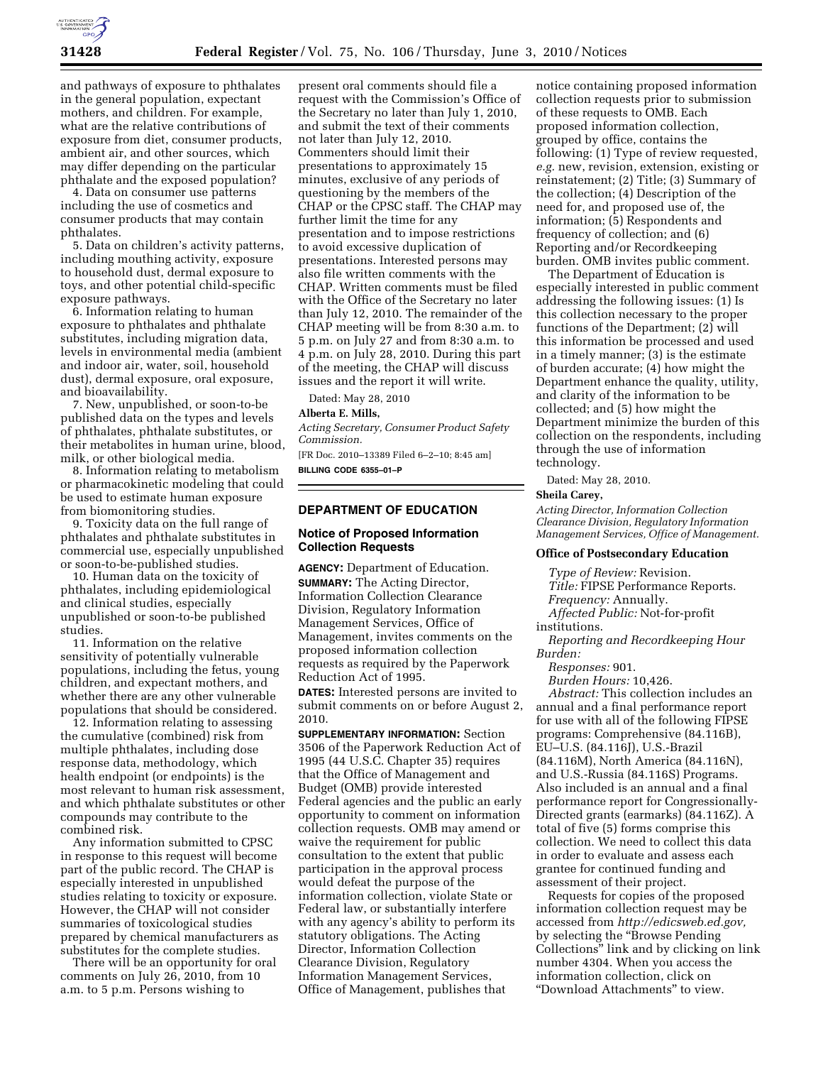

and pathways of exposure to phthalates in the general population, expectant mothers, and children. For example, what are the relative contributions of exposure from diet, consumer products, ambient air, and other sources, which may differ depending on the particular phthalate and the exposed population?

4. Data on consumer use patterns including the use of cosmetics and consumer products that may contain phthalates.

5. Data on children's activity patterns, including mouthing activity, exposure to household dust, dermal exposure to toys, and other potential child-specific exposure pathways.

6. Information relating to human exposure to phthalates and phthalate substitutes, including migration data, levels in environmental media (ambient and indoor air, water, soil, household dust), dermal exposure, oral exposure, and bioavailability.

7. New, unpublished, or soon-to-be published data on the types and levels of phthalates, phthalate substitutes, or their metabolites in human urine, blood, milk, or other biological media.

8. Information relating to metabolism or pharmacokinetic modeling that could be used to estimate human exposure from biomonitoring studies.

9. Toxicity data on the full range of phthalates and phthalate substitutes in commercial use, especially unpublished or soon-to-be-published studies.

10. Human data on the toxicity of phthalates, including epidemiological and clinical studies, especially unpublished or soon-to-be published studies.

11. Information on the relative sensitivity of potentially vulnerable populations, including the fetus, young children, and expectant mothers, and whether there are any other vulnerable populations that should be considered.

12. Information relating to assessing the cumulative (combined) risk from multiple phthalates, including dose response data, methodology, which health endpoint (or endpoints) is the most relevant to human risk assessment, and which phthalate substitutes or other compounds may contribute to the combined risk.

Any information submitted to CPSC in response to this request will become part of the public record. The CHAP is especially interested in unpublished studies relating to toxicity or exposure. However, the CHAP will not consider summaries of toxicological studies prepared by chemical manufacturers as substitutes for the complete studies.

There will be an opportunity for oral comments on July 26, 2010, from 10 a.m. to 5 p.m. Persons wishing to

present oral comments should file a request with the Commission's Office of the Secretary no later than July 1, 2010, and submit the text of their comments not later than July 12, 2010. Commenters should limit their presentations to approximately 15 minutes, exclusive of any periods of questioning by the members of the CHAP or the CPSC staff. The CHAP may further limit the time for any presentation and to impose restrictions to avoid excessive duplication of presentations. Interested persons may also file written comments with the CHAP. Written comments must be filed with the Office of the Secretary no later than July 12, 2010. The remainder of the CHAP meeting will be from 8:30 a.m. to 5 p.m. on July 27 and from 8:30 a.m. to 4 p.m. on July 28, 2010. During this part of the meeting, the CHAP will discuss issues and the report it will write.

Dated: May 28, 2010

## **Alberta E. Mills,**

*Acting Secretary, Consumer Product Safety Commission.* 

[FR Doc. 2010–13389 Filed 6–2–10; 8:45 am] **BILLING CODE 6355–01–P** 

## **DEPARTMENT OF EDUCATION**

### **Notice of Proposed Information Collection Requests**

**AGENCY:** Department of Education. **SUMMARY:** The Acting Director, Information Collection Clearance Division, Regulatory Information Management Services, Office of Management, invites comments on the proposed information collection requests as required by the Paperwork Reduction Act of 1995.

**DATES:** Interested persons are invited to submit comments on or before August 2, 2010.

**SUPPLEMENTARY INFORMATION:** Section 3506 of the Paperwork Reduction Act of 1995 (44 U.S.C. Chapter 35) requires that the Office of Management and Budget (OMB) provide interested Federal agencies and the public an early opportunity to comment on information collection requests. OMB may amend or waive the requirement for public consultation to the extent that public participation in the approval process would defeat the purpose of the information collection, violate State or Federal law, or substantially interfere with any agency's ability to perform its statutory obligations. The Acting Director, Information Collection Clearance Division, Regulatory Information Management Services, Office of Management, publishes that

notice containing proposed information collection requests prior to submission of these requests to OMB. Each proposed information collection, grouped by office, contains the following: (1) Type of review requested, *e.g.* new, revision, extension, existing or reinstatement; (2) Title; (3) Summary of the collection; (4) Description of the need for, and proposed use of, the information; (5) Respondents and frequency of collection; and (6) Reporting and/or Recordkeeping burden. OMB invites public comment.

The Department of Education is especially interested in public comment addressing the following issues: (1) Is this collection necessary to the proper functions of the Department; (2) will this information be processed and used in a timely manner; (3) is the estimate of burden accurate; (4) how might the Department enhance the quality, utility, and clarity of the information to be collected; and (5) how might the Department minimize the burden of this collection on the respondents, including through the use of information technology.

Dated: May 28, 2010.

#### **Sheila Carey,**

*Acting Director, Information Collection Clearance Division, Regulatory Information Management Services, Office of Management.* 

## **Office of Postsecondary Education**

*Type of Review:* Revision.

*Title:* FIPSE Performance Reports.

*Frequency:* Annually.

*Affected Public:* Not-for-profit

institutions.

*Reporting and Recordkeeping Hour Burden:* 

*Responses:* 901.

*Burden Hours:* 10,426.

*Abstract:* This collection includes an annual and a final performance report for use with all of the following FIPSE programs: Comprehensive (84.116B), EU–U.S. (84.116J), U.S.-Brazil (84.116M), North America (84.116N), and U.S.-Russia (84.116S) Programs. Also included is an annual and a final performance report for Congressionally-Directed grants (earmarks) (84.116Z). A total of five (5) forms comprise this collection. We need to collect this data in order to evaluate and assess each grantee for continued funding and assessment of their project.

Requests for copies of the proposed information collection request may be accessed from *http://edicsweb.ed.gov,*  by selecting the ''Browse Pending Collections'' link and by clicking on link number 4304. When you access the information collection, click on ''Download Attachments'' to view.